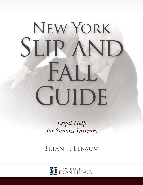# New York SLIP AND FALL GUIDE

*Legal Help for Serious Injuries*

Brian J. Elbaum

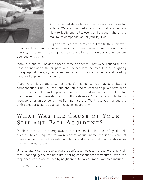

An unexpected slip or fall can cause serious injuries for victims. Were you injured in a slip and fall accident? A New York slip and fall lawyer can help you fight for the maximum compensation for your injuries.

Slips and falls seem harmless, but the truth is, this type of accident is often the cause of serious injuries. From broken ribs and neck injuries, to traumatic head injuries, a slip and fall can have devastating consequences for victims.

Many slip and fall incidents aren't mere accidents. They were caused due to unsafe conditions at the property were the accident occurred. Improper lighting or signage, slippery/icy floors and walks, and improper railing are all leading causes of slip and fall incidents.

If you were injured due to someone else's negligence, you may be entitled to compensation. Our New York slip and fall lawyers want to help. We have deep experience with New York's property safety laws, and we can help you fight for the maximum compensation you rightfully deserve. Your focus should be on recovery after an accident – not fighting insurers. We'll help you manage the entire legal process, so you can focus on recuperation.

# WHAT WAS THE CAUSE OF YOUR SLIP AND FALL ACCIDENT?

Public and private property owners are responsible for the safety of their guests. They're required to warn visitors about unsafe conditions, conduct maintenance to remedy unsafe conditions, and ensure that visitors stay away from dangerous areas.

Unfortunately, some property owners don't take necessary steps to protect visitors. That negligence can have life-altering consequences for victims. Often, the majority of cases are caused by negligence. A few common examples include:

» Wet floors

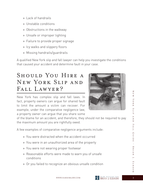- » Lack of handrails
- » Unstable conditions
- » Obstructions in the walkway
- » Unsafe or improper lighting
- » Failure to provide proper signage
- » Icy walks and slippery floors
- » Missing handrails/guardrails

A qualified New York slip and fall lawyer can help you investigate the conditions that caused your accident and determine fault in your case.

# SHOULD YOU HIRE A New York Slip and FALL LAWYER?

New York has complex slip and fall laws. In fact, property owners can argue for shared fault to limit the amount a victim can recover. For example, under the comparative negligence law, a property owner can argue that you share some



of the blame for an accident, and therefore, they should not be required to pay the maximum amount you are rightfully owed.

A few examples of comparative negligence arguments include:

- » You were distracted when the accident occurred
- » You were in an unauthorized area of the property
- » You were not wearing proper footwear
- » Reasonable efforts were made to warn you of unsafe conditions
- » Or you failed to recognize an obvious unsafe condition

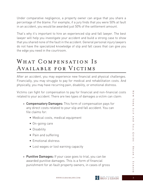Under comparative negligence, a property owner can argue that you share a percentage of the blame. For example, if a jury finds that you were 50% at fault in an accident, you would be awarded just 50% of the settlement amount.

That's why it's important to hire an experienced slip and fall lawyer. The best lawyer will help you investigate your accident and build a strong case to show that you shared none of the fault in the accident. General personal injury lawyers do not have the specialized knowledge of slip and fall cases that can give you the edge you need in the courtroom.

# WHAT COMPENSATION IS Available for Victims

After an accident, you may experience new financial and physical challenges. Financially, you may struggle to pay for medical and rehabilitation costs. And physically, you may have recurring pain, disability, or emotional distress.

Victims can fight for compensation to pay for financial and non-financial costs related to your accident. There are two types of damages a victim can claim:

- » Compensatory Damages: This form of compensation pays for any direct costs related to your slip and fall accident. You can file claims for:
	- Medical costs, medical equipment
	- On-going care
	- Disability
	- Pain and suffering
	- Emotional distress
	- Lost wages or lost earning capacity
- » Punitive Damages: If your case goes to trial, you can be awarded punitive damages. This is a form of financial punishment for at-fault property owners, in cases of gross

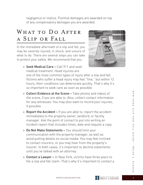negligence or malice. Punitive damages are awarded on top of any compensatory damages you are awarded.

# WHAT TO DO AFTER a Slip or Fall

In the immediate aftermath of a slip and fall, you may be severely injured, in shock, and unsure of what to do. There are several steps you can take to protect your safety. We recommend that you:



» Seek Medical Care – Call 911 and seek medical treatment. Head injuries are

one of the most common types of injury after a slip and fall. Victims who suffer a head injury may feel "fine," but within 12 hours, their conditions can deteriorate quickly. That's why it's so important to seek care as soon as possible.

- » Collect Evidence at the Scene Take photos and videos of the scene, if you are able to. Also, collect contact information for any witnesses. You may also want to record your injuries, if possible.
- » Report the Accident If you are able to, report the accident immediately to the property owner, landlord, or facility manager. Ask the point of contact to put into writing an incident report that includes times, date and request a copy.
- » Do Not Make Statements You should limit your communication with the property manager, as well as avoid putting details on social media. You may feel inclined to contact insurers, or you may hear from the property's insurer. In both cases, it's important to decline statements until you've talked with an attorney.
- » Contact a Lawyer In New York, victims have three years to file a slip and fall claim. That's why it's important to contact a

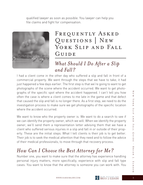qualified lawyer as soon as possible. You lawyer can help you file claims and fight for compensation.



# FREQUENTLY ASKED Questions | New YORK SLIP AND FALL GUIDE

#### *What Should I Do After a Slip and Fall?*

I had a client come in the other day who suffered a slip and fall in front of a commercial property. We went through the steps that we have to take; it had just happened a few days earlier. The first step is that we're going to want to get photographs of the scene where the accident occurred. We want to get photographs of the specific spot where the accident happened. I can't tell you how often the case is where a client comes to me late in the game and that defect that caused the slip and fall is no longer there. As a first step, we need to do the investigation process to make sure we get photographs of the specific location where the accident occurred.

We want to know who the property owner is. We want to do a search to see if we can identify the property owner, which we will. When we identify the property owner, we'll send them a representation letter advising them that we have a client who suffered serious injuries in a slip and fall in or outside of their property. These are the initial steps. What I tell clients is their job is to get better. Their job is to seek the medical attention that they need and to follow the advice of their medical professionals, to move through that recovery process.

### *How Can I Choose the Best Attorney for Me?*

Number one, you want to make sure that the attorney has experience handling personal injury matters, more specifically, experience with slip and fall type cases. You want to know that the attorney is someone you can work with. You

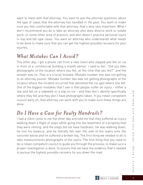want to meet with that attorney. You want to ask the attorney questions about the type of cases that the attorney has handled in the past. You want to make sure you feel comfortable with that attorney; that's also very important. What I don't recommend you do is take an attorney who does divorce work or estate work, or some other area of practice, and who doesn't practice personal injury in slip and fall type cases. You want an attorney who understands what needs to be done to make sure that you can get the highest possible recovery for your injuries.

#### *What Mistakes Can I Avoid?*

The other day, I got a phone call from a new client who slipped and fell on ice in front of a commercial building a month earlier. I said to her, "Did you take photographs of the location where you fell, at the time that you fell?" and the answer was no. That is a crucial mistake. Mistake number one was not getting to an attorney sooner. Mistake number two was not getting photographs of the location where the incident occurred that identified the ice spot where she fell. One of the biggest mistakes that I see is that people suffer an injury – either a slip and fall on a sidewalk or a slip on ice – and they don't identify specifically where they fell and they don't have photographs taken. If you retain competent council early on, that attorney can work with you to make sure these things are done.

## *Do I Have a Case for Faulty Handrails?*

I had a client come to me the other day and told me that they suffered an injury walking down a flight of steps while going into the basement of a property that they were renting, and the steps did not have handrails. He was walking down, he lost his balance, and he literally fell over the side of the stairs onto the concrete below and he suffered a broken leg. The first thing we needed to do is take measurements photographs of the stairs. The first thing that you need to do is retain competent council to guide you through the process, to make sure a proper investigation is done, to ensure that we have the evidence that's needed to pursue the highest possible recovery for you down the road.

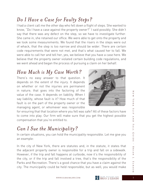#### *Do I Have a Case for Faulty Steps?*

I had a client call me the other day who fell down a flight of steps. She wanted to know, "Do I have a case against the property owner?" I said possibly. She didn't say that there was any defect on the step, so we have to investigate further. She came in, she retained our office. We were able to get onto the property and we took some measurements. We found that the risers in the steps were out of whack, that the step is too narrow and should be wider. There are certain code requirements that were not met, and that's what caused her to fall. We were able to call her and tell her, yes, we believe that you have a case here. We believe that the property owner violated certain building code regulations, and we went ahead and began the process of pursuing a claim on her behalf.

### *How Much is My Case Worth?*

There's no easy answer to that question. It depends on the extent of the injury. It depends on whether or not the injuries are permanent in nature; that goes into the factoring of the value of the case. It depends on liability. When I say liability, whose fault is it? How much of that fault is on the part of the property owner or the managing agent, or whomever was responsible

for ensuring that that location where you fell was safe? All of these factors have to come into play. Our firm will make sure that you get the highest possible compensation that you're entitled to.

# *Can I Sue the Municipality?*

In certain situations, you can hold the municipality responsible. Let me give you an example:

In the city of New York, there are statutes and, in the statute, it states that the adjacent property owner is responsible for a trip and fall on a sidewalk. However, if the trip and fall happens at curbside, now it's the responsibility of the city, or if the trip and fall involved a tree, that's the responsibility of the Parks and Recreation. There's a good chance that you have a claim against the city. The municipality could be held responsible, but as well, you would make

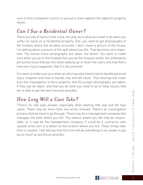sure to hire competent council to pursue a claim against the adjacent property owner.

#### *Can I Sue a Residential Owner?*

There are lots of factors that come into play as to what you need to do when you suffer an injury on a residential property. One, you need to get photographs of the location where the accident occurred. I don't mean a picture of the house; I'm talking about a picture of the spot where you fell. That becomes very important. The earlier those photographs are taken, the better. You want to make sure when you go to the hospital that you let the hospital and/or the ambulance personnel know that you fell while walking up or down the stairs and that that's how your injury happened, that it's documented.

You want to make sure you retain an attorney who knows how to handle personal injury litigation and how to handle slip and fall cases. That attorney will make sure the investigation is done properly, that the proper photographs are taken, if they can be taken, and that you do what you need to do to help ensure that we're able to get the best recovery possible.

### *How Long Will a Case Take?*

There's no real easy answer, especially when dealing with slip and fall type cases. There may be more than one entity involved. There's an investigation process that we have to go through. There may be a management company that manages the area where you fell. The owners where you fell may be responsible, or it may be the management company. It could be a contractor who caused some sort of a defect at the location where you fell. These things take time to resolve. I will tell you that this firm will do everything in our power to get you a result as quickly as possible.

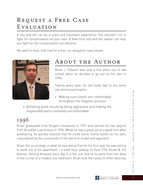# Request a Free Case EVALUATION

A slip and fall can be a scary and traumatic experience. You shouldn't try to fight for compensation on your own. A New York slip and fall lawyer can help you fight for the compensation you deserve.

We want to help. Call now for a free, no-obligation case review.



#### About the Author

Brian J. Elbaum was only a few years out of law school when he decided to go out on his own in 1996.

Twenty years later, he still holds fast to the same two winning principles:

- » Making sure clients are comfortable throughout the litigation process.
- » Achieving great results by being aggressive and making the responsible party constantly uncomfortable.

# *1996*

Brian graduated from Rutgers University in 1991 and earned his law degree from Brooklyn Law School in 1994. While he had a great job at a good firm after graduating, he quickly realized that he could serve clients better on his own, unburdened by the constraints of the law firm model and approach.

Brian felt so strongly in what he was doing that for his first year he was willing to work out of his apartment – a sixth floor walkup on East 37th Street & 3rd Avenue. Getting dressed every day in a full suit and tie to work from the desk in the corner of a modest one-bedroom, Brian took the cases no other attorney

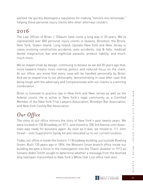wanted. He quickly developed a reputation for making "lemons into lemonade," helping those personal injury clients who other attorneys couldn't.

#### *2016*

The Law Offices of Brian J. Elbaum have come a long way in 20 years. We've represented over 800 personal injury clients in Queens, Brooklyn, the Bronx, New York, Staten Island, Long Island, Upstate New York and New Jersey in cases involving construction accidents, auto accidents, slip & falls, medical/ dental malpractice, bar and nightclub assaults, product liability, and much, much more.

We've stayed small by design, continuing to believe as we did 20 years ago that, more lawyers means more internal politics and reduced focus on the client. At our office, you know that every case will be handled personally by Brian. And we've stayed true to our philosophy, demonstrating in case after case that being tough with the adversary and compassionate with our clients is a winning combination.

Brian is licensed to practice law in New York and New Jersey as well as the federal courts. He is active in New York's legal community as a Certified Member of the New York Trial Lawyers Association, Brooklyn Bar Association, and New York County Bar Association.

# *Our Office*

The story of our office mirrors the story of New York's past twenty years. We were located in 150 Broadway on 9/11, and moved to 708 3rd Avenue until downtown was ready for business again. As soon as it was, we moved to 111 John Street – until Superstorm Sandy hit and relocated us to our current location.

Today, our office is inside the historic 11 Broadway building, just outside Bowling Green. Built 120 years ago in 1896, the Western Union branch office inside our building became a focus in the investigation into the Titanic disaster in 1912 as Senator Alden Smith sought to determine whether a message from the doomed ship had been transmitted to New York's White Star Line office next door.



 $\overline{\le}$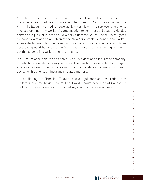Mr. Elbaum has broad experience in the areas of law practiced by the Firm and manages a team dedicated to meeting client needs. Prior to establishing the Firm, Mr. Elbaum worked for several New York law firms representing clients in cases ranging from workers' compensation to commercial litigation. He also served as a judicial intern to a New York Supreme Court Justice, investigated exchange violations as an intern at the New York Stock Exchange, and worked at an entertainment firm representing musicians. His extensive legal and business background has instilled in Mr. Elbaum a solid understanding of how to get things done in a variety of environments.

Mr. Elbaum once held the position of Vice President at an insurance company, for which he provided advisory services. This position has enabled him to gain an insider's view of the insurance industry. He translates that insight into solid advice for his clients on insurance-related matters.

In establishing the Firm, Mr. Elbaum received guidance and inspiration from his father, the late David Elbaum, Esq. David Elbaum served as Of Counsel to the Firm in its early years and provided key insights into several cases.